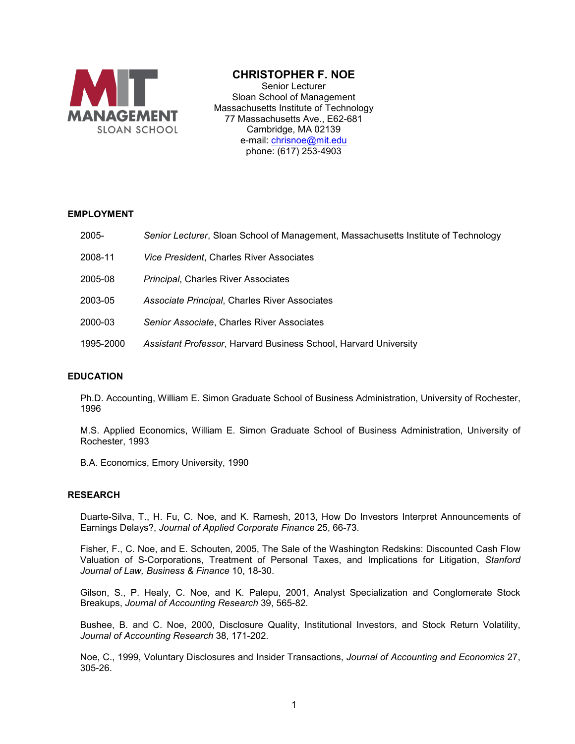

# **CHRISTOPHER F. NOE**

Senior Lecturer Sloan School of Management Massachusetts Institute of Technology 77 Massachusetts Ave., E62-681 Cambridge, MA 02139 e-mail: [chrisnoe@mit.edu](mailto:chrisnoe@mit.edu) phone: (617) 253-4903

## **EMPLOYMENT**

- 2005- *Senior Lecturer*, Sloan School of Management, Massachusetts Institute of Technology
- 2008-11 *Vice President*, Charles River Associates
- 2005-08 *Principal*, Charles River Associates
- 2003-05 *Associate Principal*, Charles River Associates
- 2000-03 *Senior Associate*, Charles River Associates
- 1995-2000 *Assistant Professor*, Harvard Business School, Harvard University

## **EDUCATION**

Ph.D. Accounting, William E. Simon Graduate School of Business Administration, University of Rochester, 1996

M.S. Applied Economics, William E. Simon Graduate School of Business Administration, University of Rochester, 1993

B.A. Economics, Emory University, 1990

## **RESEARCH**

Duarte-Silva, T., H. Fu, C. Noe, and K. Ramesh, 2013, How Do Investors Interpret Announcements of Earnings Delays?, *Journal of Applied Corporate Finance* 25, 66-73.

Fisher, F., C. Noe, and E. Schouten, 2005, The Sale of the Washington Redskins: Discounted Cash Flow Valuation of S-Corporations, Treatment of Personal Taxes, and Implications for Litigation, *Stanford Journal of Law, Business & Finance* 10, 18-30.

Gilson, S., P. Healy, C. Noe, and K. Palepu, 2001, Analyst Specialization and Conglomerate Stock Breakups, *Journal of Accounting Research* 39, 565-82.

Bushee, B. and C. Noe, 2000, Disclosure Quality, Institutional Investors, and Stock Return Volatility, *Journal of Accounting Research* 38, 171-202.

Noe, C., 1999, Voluntary Disclosures and Insider Transactions, *Journal of Accounting and Economics* 27, 305-26.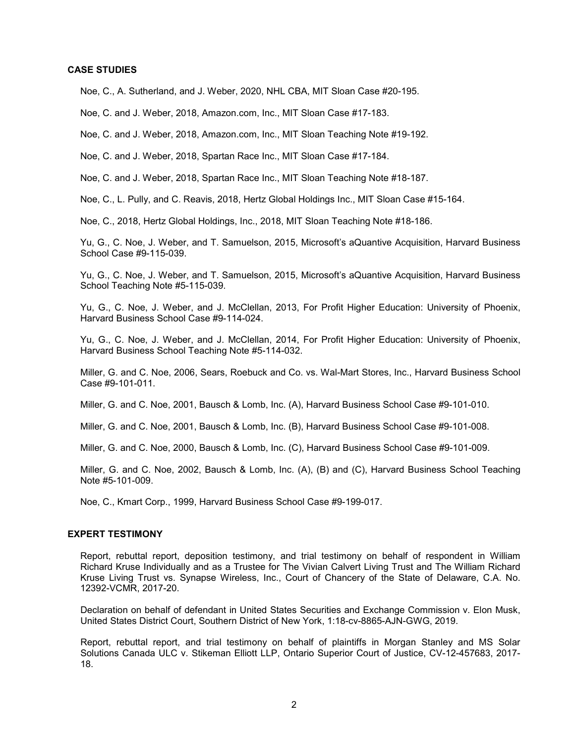#### **CASE STUDIES**

Noe, C., A. Sutherland, and J. Weber, 2020, NHL CBA, MIT Sloan Case #20-195.

Noe, C. and J. Weber, 2018, Amazon.com, Inc., MIT Sloan Case #17-183.

Noe, C. and J. Weber, 2018, Amazon.com, Inc., MIT Sloan Teaching Note #19-192.

Noe, C. and J. Weber, 2018, Spartan Race Inc., MIT Sloan Case #17-184.

Noe, C. and J. Weber, 2018, Spartan Race Inc., MIT Sloan Teaching Note #18-187.

Noe, C., L. Pully, and C. Reavis, 2018, Hertz Global Holdings Inc., MIT Sloan Case #15-164.

Noe, C., 2018, Hertz Global Holdings, Inc., 2018, MIT Sloan Teaching Note #18-186.

Yu, G., C. Noe, J. Weber, and T. Samuelson, 2015, Microsoft's aQuantive Acquisition, Harvard Business School Case #9-115-039.

Yu, G., C. Noe, J. Weber, and T. Samuelson, 2015, Microsoft's aQuantive Acquisition, Harvard Business School Teaching Note #5-115-039.

Yu, G., C. Noe, J. Weber, and J. McClellan, 2013, For Profit Higher Education: University of Phoenix, Harvard Business School Case #9-114-024.

Yu, G., C. Noe, J. Weber, and J. McClellan, 2014, For Profit Higher Education: University of Phoenix, Harvard Business School Teaching Note #5-114-032.

Miller, G. and C. Noe, 2006, Sears, Roebuck and Co. vs. Wal-Mart Stores, Inc., Harvard Business School Case #9-101-011.

Miller, G. and C. Noe, 2001, Bausch & Lomb, Inc. (A), Harvard Business School Case #9-101-010.

Miller, G. and C. Noe, 2001, Bausch & Lomb, Inc. (B), Harvard Business School Case #9-101-008.

Miller, G. and C. Noe, 2000, Bausch & Lomb, Inc. (C), Harvard Business School Case #9-101-009.

Miller, G. and C. Noe, 2002, Bausch & Lomb, Inc. (A), (B) and (C), Harvard Business School Teaching Note #5-101-009.

Noe, C., Kmart Corp., 1999, Harvard Business School Case #9-199-017.

## **EXPERT TESTIMONY**

Report, rebuttal report, deposition testimony, and trial testimony on behalf of respondent in William Richard Kruse Individually and as a Trustee for The Vivian Calvert Living Trust and The William Richard Kruse Living Trust vs. Synapse Wireless, Inc., Court of Chancery of the State of Delaware, C.A. No. 12392-VCMR, 2017-20.

Declaration on behalf of defendant in United States Securities and Exchange Commission v. Elon Musk, United States District Court, Southern District of New York, 1:18-cv-8865-AJN-GWG, 2019.

Report, rebuttal report, and trial testimony on behalf of plaintiffs in Morgan Stanley and MS Solar Solutions Canada ULC v. Stikeman Elliott LLP, Ontario Superior Court of Justice, CV-12-457683, 2017- 18.